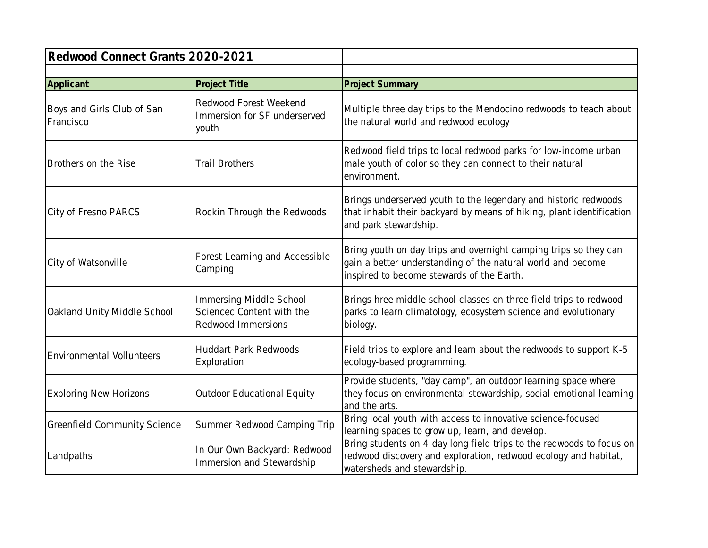| Redwood Connect Grants 2020-2021        |                                                                            |                                                                                                                                                                              |
|-----------------------------------------|----------------------------------------------------------------------------|------------------------------------------------------------------------------------------------------------------------------------------------------------------------------|
|                                         |                                                                            |                                                                                                                                                                              |
| Applicant                               | Project Title                                                              | <b>Project Summary</b>                                                                                                                                                       |
| Boys and Girls Club of San<br>Francisco | Redwood Forest Weekend<br>Immersion for SF underserved<br>youth            | Multiple three day trips to the Mendocino redwoods to teach about<br>the natural world and redwood ecology                                                                   |
| Brothers on the Rise                    | <b>Trail Brothers</b>                                                      | Redwood field trips to local redwood parks for low-income urban<br>male youth of color so they can connect to their natural<br>environment.                                  |
| City of Fresno PARCS                    | Rockin Through the Redwoods                                                | Brings underserved youth to the legendary and historic redwoods<br>that inhabit their backyard by means of hiking, plant identification<br>and park stewardship.             |
| City of Watsonville                     | Forest Learning and Accessible<br>Camping                                  | Bring youth on day trips and overnight camping trips so they can<br>gain a better understanding of the natural world and become<br>inspired to become stewards of the Earth. |
| Oakland Unity Middle School             | Immersing Middle School<br>Sciencec Content with the<br>Redwood Immersions | Brings hree middle school classes on three field trips to redwood<br>parks to learn climatology, ecosystem science and evolutionary<br>biology.                              |
| <b>Environmental Vollunteers</b>        | <b>Huddart Park Redwoods</b><br>Exploration                                | Field trips to explore and learn about the redwoods to support K-5<br>ecology-based programming.                                                                             |
| <b>Exploring New Horizons</b>           | Outdoor Educational Equity                                                 | Provide students, "day camp", an outdoor learning space where<br>they focus on environmental stewardship, social emotional learning<br>and the arts.                         |
| <b>Greenfield Community Science</b>     | Summer Redwood Camping Trip                                                | Bring local youth with access to innovative science-focused<br>learning spaces to grow up, learn, and develop.                                                               |
| Landpaths                               | In Our Own Backyard: Redwood<br>Immersion and Stewardship                  | Bring students on 4 day long field trips to the redwoods to focus on<br>redwood discovery and exploration, redwood ecology and habitat,<br>watersheds and stewardship.       |